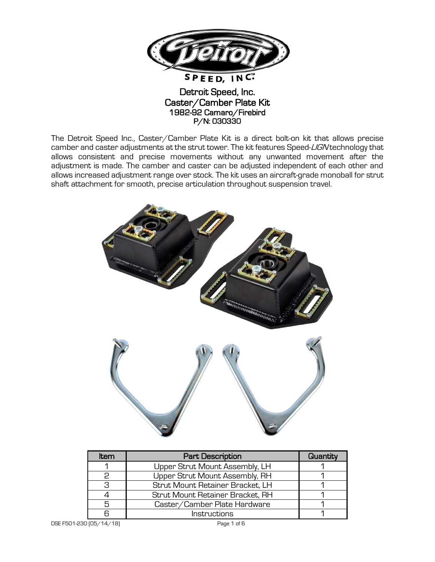

## Detroit Speed, Inc. Caster/Camber Plate Kit 1982-92 Camaro/Firebird P/N: 030330

The Detroit Speed Inc., Caster/Camber Plate Kit is a direct bolt-on kit that allows precise camber and caster adjustments at the strut tower. The kit features Speed-LIGN technology that allows consistent and precise movements without any unwanted movement after the adjustment is made. The camber and caster can be adjusted independent of each other and allows increased adjustment range over stock. The kit uses an aircraft-grade monoball for strut shaft attachment for smooth, precise articulation throughout suspension travel.



| ltem | <b>Part Description</b>          | Quantity |
|------|----------------------------------|----------|
|      | Upper Strut Mount Assembly, LH   |          |
| P    | Upper Strut Mount Assembly, RH   |          |
| 3    | Strut Mount Retainer Bracket, LH |          |
|      | Strut Mount Retainer Bracket, RH |          |
| 5    | Caster/Camber Plate Hardware     |          |
|      | Instructions                     |          |

DSE F501-230 (05/14/18) Page 1 of 6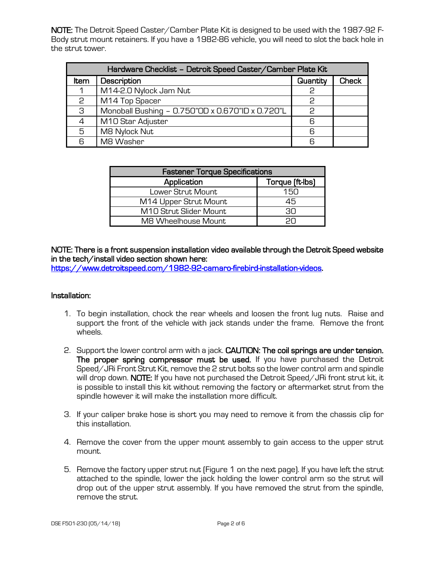NOTE: The Detroit Speed Caster/Camber Plate Kit is designed to be used with the 1987-92 F-Body strut mount retainers. If you have a 1982-86 vehicle, you will need to slot the back hole in the strut tower.

| Hardware Checklist - Detroit Speed Caster/Camber Plate Kit |                                                  |          |              |  |  |
|------------------------------------------------------------|--------------------------------------------------|----------|--------------|--|--|
| Item                                                       | Description                                      | Quantity | <b>Check</b> |  |  |
|                                                            | M14-2.0 Nylock Jam Nut                           | 2        |              |  |  |
| 2                                                          | M14 Top Spacer                                   | င္       |              |  |  |
| 3                                                          | Monoball Bushing - 0.750"OD x 0.670"ID x 0.720"L | င္       |              |  |  |
| 4                                                          | M10 Star Adjuster                                | 6        |              |  |  |
| 5                                                          | M8 Nylock Nut                                    | 6        |              |  |  |
| 6                                                          | M8 Washer                                        | 6        |              |  |  |

| <b>Fastener Torque Specifications</b> |                 |  |  |
|---------------------------------------|-----------------|--|--|
| Application                           | Torque (ft-lbs) |  |  |
| Lower Strut Mount                     | 150             |  |  |
| M14 Upper Strut Mount                 | 45              |  |  |
| M10 Strut Slider Mount                | 30.             |  |  |
| M8 Wheelhouse Mount                   |                 |  |  |

## NOTE: There is a front suspension installation video available through the Detroit Speed website in the tech/install video section shown here:

[https://www.detroitspeed.com/1982-92-camaro-firebird-installation-videos.](https://www.detroitspeed.com/1982-92-camaro-firebird-installation-videos)

## Installation:

- 1. To begin installation, chock the rear wheels and loosen the front lug nuts. Raise and support the front of the vehicle with jack stands under the frame. Remove the front wheels.
- 2. Support the lower control arm with a jack. CAUTION: The coil springs are under tension. The proper spring compressor must be used. If you have purchased the Detroit Speed/JRi Front Strut Kit, remove the 2 strut bolts so the lower control arm and spindle will drop down. **NOTE:** If you have not purchased the Detroit Speed/JRi front strut kit, it is possible to install this kit without removing the factory or aftermarket strut from the spindle however it will make the installation more difficult.
- 3. If your caliper brake hose is short you may need to remove it from the chassis clip for this installation.
- 4. Remove the cover from the upper mount assembly to gain access to the upper strut mount.
- 5. Remove the factory upper strut nut (Figure 1 on the next page). If you have left the strut attached to the spindle, lower the jack holding the lower control arm so the strut will drop out of the upper strut assembly. If you have removed the strut from the spindle, remove the strut.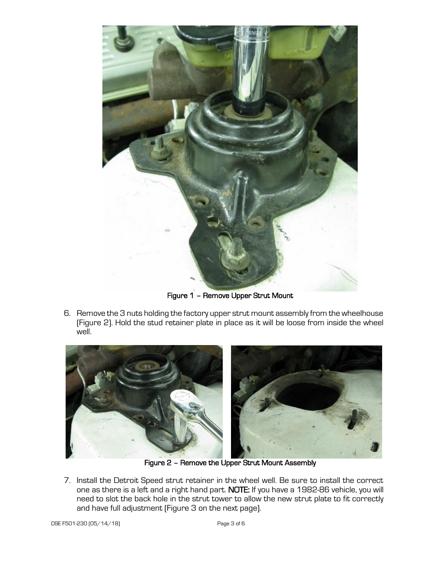

Figure 1 – Remove Upper Strut Mount

6. Remove the 3 nuts holding the factory upper strut mount assembly from the wheelhouse (Figure 2). Hold the stud retainer plate in place as it will be loose from inside the wheel well.



Figure 2 – Remove the Upper Strut Mount Assembly

7. Install the Detroit Speed strut retainer in the wheel well. Be sure to install the correct one as there is a left and a right hand part. NOTE: If you have a 1982-86 vehicle, you will need to slot the back hole in the strut tower to allow the new strut plate to fit correctly and have full adjustment (Figure 3 on the next page).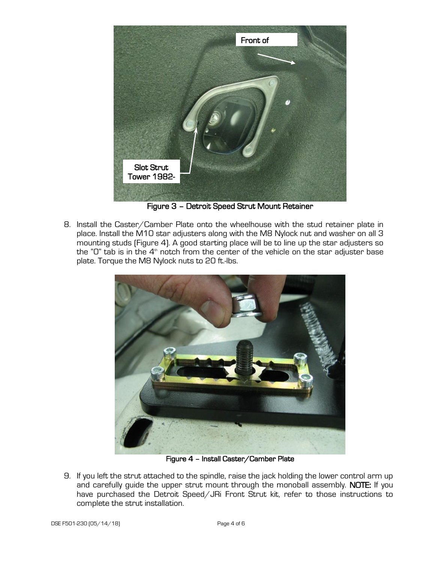

Figure 3 – Detroit Speed Strut Mount Retainer

8. Install the Caster/Camber Plate onto the wheelhouse with the stud retainer plate in place. Install the M10 star adjusters along with the M8 Nylock nut and washer on all 3 mounting studs (Figure 4). A good starting place will be to line up the star adjusters so the "O" tab is in the  $4^\text{\tiny th}$  notch from the center of the vehicle on the star adjuster base plate. Torque the M8 Nylock nuts to 20 ft.-lbs.



Figure 4 – Install Caster/Camber Plate

9. If you left the strut attached to the spindle, raise the jack holding the lower control arm up and carefully guide the upper strut mount through the monoball assembly. NOTE: If you have purchased the Detroit Speed/JRi Front Strut kit, refer to those instructions to complete the strut installation.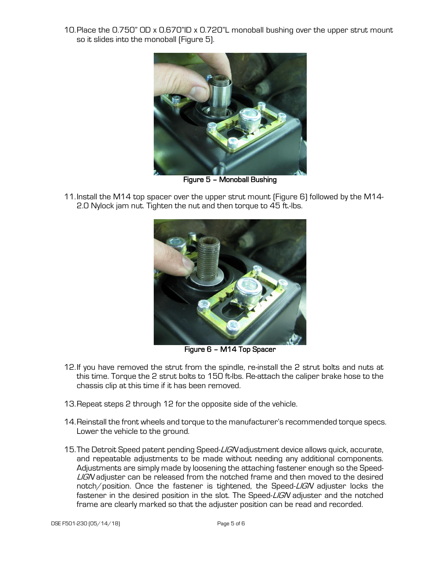10.Place the 0.750" OD x 0.670"ID x 0.720"L monoball bushing over the upper strut mount so it slides into the monoball (Figure 5).



Figure 5 – Monoball Bushing

11.Install the M14 top spacer over the upper strut mount (Figure 6) followed by the M14- 2.0 Nylock jam nut. Tighten the nut and then torque to 45 ft.-lbs.



Figure 6 – M14 Top Spacer

- 12.If you have removed the strut from the spindle, re-install the 2 strut bolts and nuts at this time. Torque the 2 strut bolts to 150 ft-lbs. Re-attach the caliper brake hose to the chassis clip at this time if it has been removed.
- 13.Repeat steps 2 through 12 for the opposite side of the vehicle.
- 14.Reinstall the front wheels and torque to the manufacturer's recommended torque specs. Lower the vehicle to the ground.
- 15. The Detroit Speed patent pending Speed-LIGN adjustment device allows quick, accurate, and repeatable adjustments to be made without needing any additional components. Adjustments are simply made by loosening the attaching fastener enough so the Speed-LIGN adjuster can be released from the notched frame and then moved to the desired notch/position. Once the fastener is tightened, the Speed-LIGN adjuster locks the fastener in the desired position in the slot. The Speed-LIGN adjuster and the notched frame are clearly marked so that the adjuster position can be read and recorded.